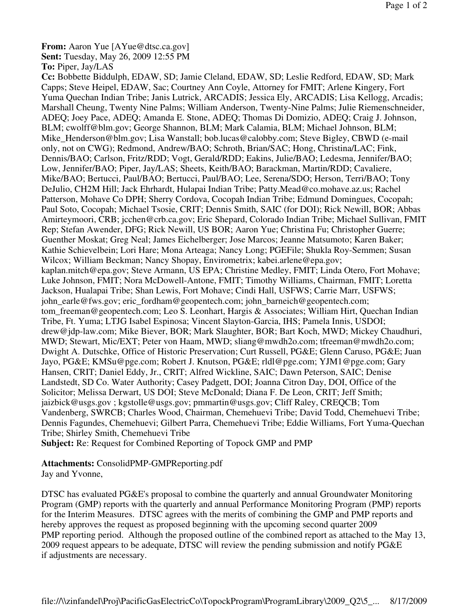**From:** Aaron Yue [AYue@dtsc.ca.gov] **Sent:** Tuesday, May 26, 2009 12:55 PM

**To:** Piper, Jay/LAS

**Cc:** Bobbette Biddulph, EDAW, SD; Jamie Cleland, EDAW, SD; Leslie Redford, EDAW, SD; Mark Capps; Steve Heipel, EDAW, Sac; Courtney Ann Coyle, Attorney for FMIT; Arlene Kingery, Fort Yuma Quechan Indian Tribe; Janis Lutrick, ARCADIS; Jessica Ely, ARCADIS; Lisa Kellogg, Arcadis; Marshall Cheung, Twenty Nine Palms; William Anderson, Twenty-Nine Palms; Julie Riemenschneider, ADEQ; Joey Pace, ADEQ; Amanda E. Stone, ADEQ; Thomas Di Domizio, ADEQ; Craig J. Johnson, BLM; cwolff@blm.gov; George Shannon, BLM; Mark Calamia, BLM; Michael Johnson, BLM; Mike Henderson@blm.gov; Lisa Wanstall; bob.lucas@calobby.com; Steve Bigley, CBWD (e-mail only, not on CWG); Redmond, Andrew/BAO; Schroth, Brian/SAC; Hong, Christina/LAC; Fink, Dennis/BAO; Carlson, Fritz/RDD; Vogt, Gerald/RDD; Eakins, Julie/BAO; Ledesma, Jennifer/BAO; Low, Jennifer/BAO; Piper, Jay/LAS; Sheets, Keith/BAO; Barackman, Martin/RDD; Cavaliere, Mike/BAO; Bertucci, Paul/BAO; Bertucci, Paul/BAO; Lee, Serena/SDO; Herson, Terri/BAO; Tony DeJulio, CH2M Hill; Jack Ehrhardt, Hulapai Indian Tribe; Patty.Mead@co.mohave.az.us; Rachel Patterson, Mohave Co DPH; Sherry Cordova, Cocopah Indian Tribe; Edmund Domingues, Cocopah; Paul Soto, Cocopah; Michael Tsosie, CRIT; Dennis Smith, SAIC (for DOI); Rick Newill, BOR; Abbas Amirteymoori, CRB; jcchen@crb.ca.gov; Eric Shepard, Colorado Indian Tribe; Michael Sullivan, FMIT Rep; Stefan Awender, DFG; Rick Newill, US BOR; Aaron Yue; Christina Fu; Christopher Guerre; Guenther Moskat; Greg Neal; James Eichelberger; Jose Marcos; Jeanne Matsumoto; Karen Baker; Kathie Schievelbein; Lori Hare; Mona Arteaga; Nancy Long; PGEFile; Shukla Roy-Semmen; Susan Wilcox; William Beckman; Nancy Shopay, Envirometrix; kabei.arlene@epa.gov; kaplan.mitch@epa.gov; Steve Armann, US EPA; Christine Medley, FMIT; Linda Otero, Fort Mohave; Luke Johnson, FMIT; Nora McDowell-Antone, FMIT; Timothy Williams, Chairman, FMIT; Loretta Jackson, Hualapai Tribe; Shan Lewis, Fort Mohave; Cindi Hall, USFWS; Carrie Marr, USFWS; john\_earle@fws.gov; eric\_fordham@geopentech.com; john\_barneich@geopentech.com; tom freeman@geopentech.com; Leo S. Leonhart, Hargis & Associates; William Hirt, Quechan Indian Tribe, Ft. Yuma; LTJG Isabel Espinosa; Vincent Slayton-Garcia, IHS; Pamela Innis, USDOI; drew@jdp-law.com; Mike Biever, BOR; Mark Slaughter, BOR; Bart Koch, MWD; Mickey Chaudhuri, MWD; Stewart, Mic/EXT; Peter von Haam, MWD; sliang@mwdh2o.com; tfreeman@mwdh2o.com; Dwight A. Dutschke, Office of Historic Preservation; Curt Russell, PG&E; Glenn Caruso, PG&E; Juan Jayo, PG&E; KMSu@pge.com; Robert J. Knutson, PG&E; rldl@pge.com; YJM1@pge.com; Gary Hansen, CRIT; Daniel Eddy, Jr., CRIT; Alfred Wickline, SAIC; Dawn Peterson, SAIC; Denise Landstedt, SD Co. Water Authority; Casey Padgett, DOI; Joanna Citron Day, DOI, Office of the Solicitor; Melissa Derwart, US DOI; Steve McDonald; Diana F. De Leon, CRIT; Jeff Smith; jaizbick@usgs.gov ; kgstolle@usgs.gov; pmmartin@usgs.gov; Cliff Raley, CREQCB; Tom Vandenberg, SWRCB; Charles Wood, Chairman, Chemehuevi Tribe; David Todd, Chemehuevi Tribe; Dennis Fagundes, Chemehuevi; Gilbert Parra, Chemehuevi Tribe; Eddie Williams, Fort Yuma-Quechan Tribe; Shirley Smith, Chemehuevi Tribe **Subject:** Re: Request for Combined Reporting of Topock GMP and PMP

**Attachments:** ConsolidPMP-GMPReporting.pdf Jay and Yvonne,

DTSC has evaluated PG&E's proposal to combine the quarterly and annual Groundwater Monitoring Program (GMP) reports with the quarterly and annual Performance Monitoring Program (PMP) reports for the Interim Measures. DTSC agrees with the merits of combining the GMP and PMP reports and hereby approves the request as proposed beginning with the upcoming second quarter 2009 PMP reporting period. Although the proposed outline of the combined report as attached to the May 13, 2009 request appears to be adequate, DTSC will review the pending submission and notify PG&E if adjustments are necessary.